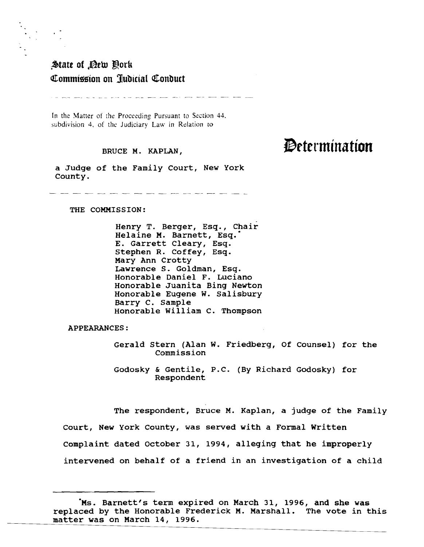## State of Dew Oork Commission on Judicial Conduct

In the Matter of the Proceeding Pursuant to Section 44. subdivision 4, of the Judiciary Law in Relation to

### BRUCE M. KAPLAN,

a JUdge of the Family Court, New York County.

THE COMMISSION:

Henry T. Berger, Esq., Chair Helaine M. Barnett, Esq." E. Garrett Cleary, Esq. stephen R. Coffey, Esq. Mary Ann Crotty Lawrence S. Goldman, Esq. Honorable Daniel F. Luciano Honorable Juanita Bing Newton Honorable Eugene w. Salisbury Barry C. Sample Honorable William C. Thompson

APPEARANCES:

Gerald Stern (Alan W. Friedberg, Of Counsel) for the Commission

Godosky & Gentile, P.C. (By Richard Godosky) for Respondent

The respondent, Bruce M. Kaplan, a judge of the Family court, New York County, was served with a Formal Written Complaint dated October 31, 1994, alleging that he improperly intervened on behalf of a friend in an investigation of a child

# **Determination**

<sup>&</sup>quot;Ms. Barnett's term expired on March 31, 1996, and she was replaced by the Honorable Frederick M. Marshall. The vote in this matter was on March 14, 1996.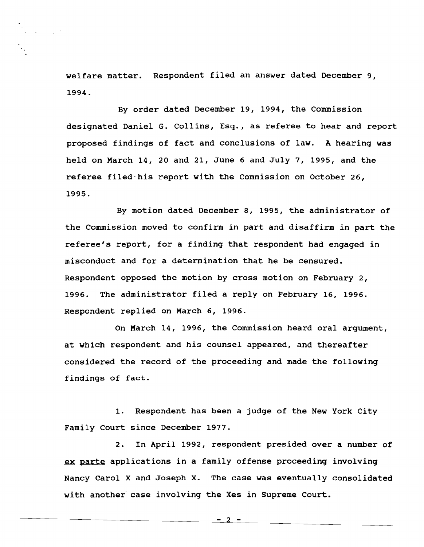welfare matter. Respondent filed an answer dated December 9, 1994.

By order dated December 19, 1994, the Commission designated Daniel G. Collins, Esq., as referee to hear and report proposed findings of fact and conclusions of law. A hearing was held on March 14, 20 and 21, June 6 and July 7, 1995, and the referee filed-his report with the Commission on October 26, 1995.

By motion dated December 8, 1995, the administrator of the Commission moved to confirm in part and disaffirm in part the referee's report, for <sup>a</sup> finding that respondent had engaged in misconduct and for <sup>a</sup> determination that he be censured. Respondent opposed the motion by cross motion on February 2, 1996. The administrator filed <sup>a</sup> reply on February 16, 1996. Respondent replied on March 6, 1996.

On March 14, 1996, the Commission heard oral argument, at which respondent and his counsel appeared, and thereafter considered the record of the proceeding and made the following findings of fact.

1. Respondent has been a judge of the New York City Family Court since December 1977.

2. In April 1992, respondent presided over a number of ex parte applications in a family offense proceeding involving Nancy Carol X and Joseph X. The case was eventually consolidated with another case involving the Xes in Supreme Court.

 $-2 -$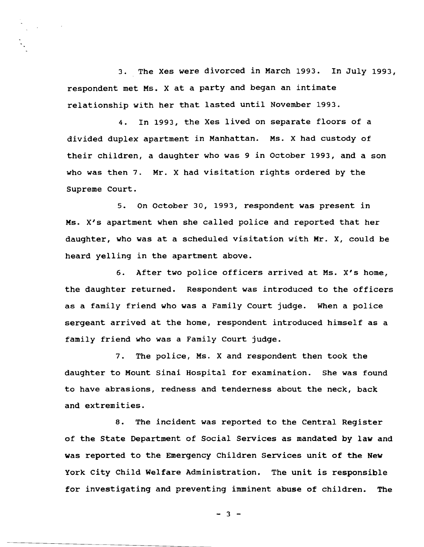3. The Xes were divorced in March 1993. In July 1993, respondent met Ms. <sup>X</sup> at <sup>a</sup> party and began an intimate relationship with her that lasted until November 1993.

4. In 1993, the Xes lived on separate floors of a divided duplex apartment in Manhattan. Ms. X had custody of their children, <sup>a</sup> daughter who was <sup>9</sup> in October 1993, and <sup>a</sup> son who was then 7. Mr. <sup>X</sup> had visitation rights ordered by the Supreme Court.

5. On October 30, 1993, respondent was present in Ms. *XiS* apartment when she called police and reported that her daughter, who was at <sup>a</sup> scheduled visitation with Mr. X, could be heard yelling in the apartment above.

6. After two police officers arrived at Ms. *XiS* home, the daughter returned. Respondent was introduced to the officers as a family friend who was a Family Court judge. When a police sergeant arrived at the home, respondent introduced himself as <sup>a</sup> family friend who was a Family Court judge.

7. The police, Ms. X and respondent then took the daughter to Mount sinai Hospital for examination. She was found to have abrasions, redness and tenderness about the neck, back and extremities.

8. The incident was reported to the Central Register of the State Department of Social Services as mandated by law and was reported to the Emergency Children Services unit of the New York city Child Welfare Administration. The unit is responsible for investigating and preventing imminent abuse of children. The

- 3 -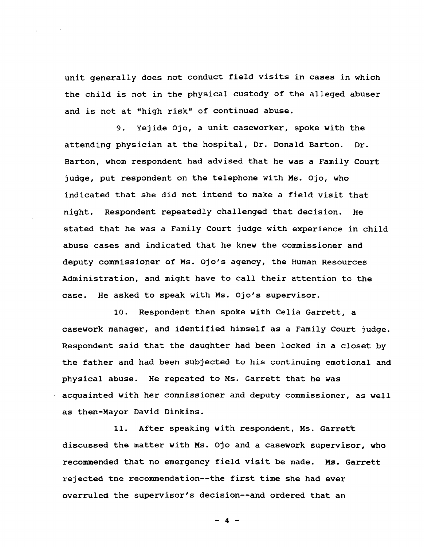unit generally does not conduct field visits in cases in which the child is not in the physical custody of the alleged abuser and is not at "high risk" of continued abuse.

9. Yejide Ojo, a unit caseworker, spoke with the attending physician at the hospital, Dr. Donald Barton. Dr. Barton, whom respondent had advised that he was <sup>a</sup> Family Court jUdge, put respondent on the telephone with Ms. Ojo, who indicated that she did not intend to make <sup>a</sup> field visit that night. Respondent repeatedly challenged that decision. He stated that he was a Family Court judge with experience in child abuse cases and indicated that he knew the commissioner and deputy commissioner of Ms. Ojo's agency, the Human Resources Administration, and might have to call their attention to the case. He asked to speak with Ms. Ojo's supervisor.

10. Respondent then spoke with Celia Garrett, a casework manager, and identified himself as a Family Court judge. Respondent said that the daughter had been locked in <sup>a</sup> closet by the father and had been sUbjected to his continuing emotional and physical abuse. He repeated to Ms. Garrett that he was acquainted with her commissioner and deputy commissioner, as well as then-Mayor David Dinkins.

11. After speaking with respondent, Ms. Garrett discussed the matter with Ms. ojo and a casework supervisor, who recommended that no emergency field visit be made. Ms. Garrett rejected the recommendation--the first time she had ever overruled the supervisor's decision--and ordered that an

 $- 4 -$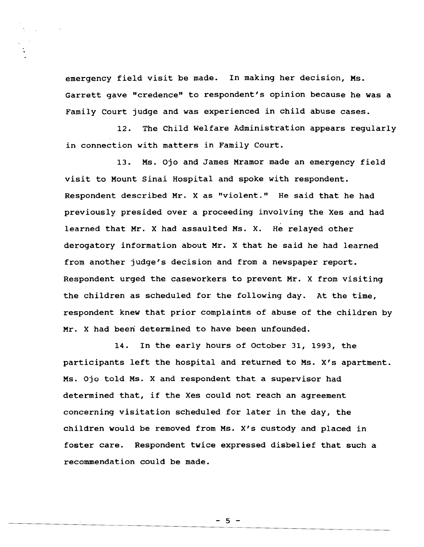emergency field visit be made. In making her decision, Ms. Garrett gave "credence" to respondent's opinion because he was a Family Court judge and was experienced in child abuse cases.

12. The Child Welfare Administration appears regularly in connection with matters in Family Court.

13. Ms. Ojo and James Mramor made an emergency field visit to Mount Sinai Hospital and spoke with respondent. Respondent described Mr. <sup>X</sup> as "violent." He said that he had previously presided over a proceeding involving the Xes and had learned that Mr. <sup>X</sup> had assaulted Ms. X. He relayed other derogatory information about Mr. X that he said he had learned from another jUdge's decision and from a newspaper report. Respondent urged the caseworkers to prevent Mr. <sup>X</sup> from visiting the children as scheduled for the following day. At the time, respondent knew that prior complaints of abuse of the children by Mr. X had been determined to have been unfounded.

14. In the early hours of October 31, 1993, the participants left the hospital and returned to Ms. X's apartment. Ms. Ojo told Ms. <sup>X</sup> and respondent that <sup>a</sup> supervisor had determined that, if the Xes could not reach an agreement concerning visitation scheduled for later in the day, the children would be removed from Ms. X's custody and placed in foster care. Respondent twice expressed disbelief that such <sup>a</sup> recommendation could be made.

 $-5 -$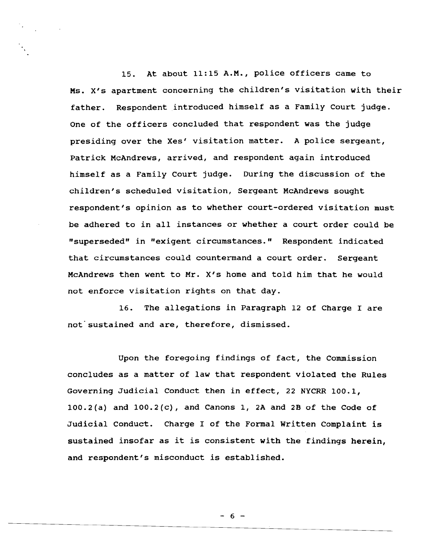15. At about 11:15 A.M., police officers came to Ms. X's apartment concerning the children's visitation with their father. Respondent introduced himself as a Family Court judge. One of the officers concluded that respondent was the judge presiding over the Xes' visitation matter. <sup>A</sup> police sergeant, Patrick McAndrews, arrived, and respondent again introduced himself as a Family Court judge. During the discussion of the children's scheduled visitation, Sergeant McAndrews sought respondent's opinion as to whether court-ordered visitation must be adhered to in all instances or whether <sup>a</sup> court order could be "superseded" in "exigent circumstances." Respondent indicated that circumstances could countermand <sup>a</sup> court order. Sergeant McAndrews then went to Mr. X's home and told him that he would not enforce visitation rights on that day.

16. The allegations in Paragraph 12 of Charge I are not sustained and are, therefore, dismissed.

Upon the foregoing findings of fact, the Commission concludes as <sup>a</sup> matter of law that respondent violated the Rules Governing JUdicial Conduct then in effect, 22 NYCRR 100.1,  $100.2(a)$  and  $100.2(c)$ , and Canons 1, 2A and 2B of the Code of JUdicial Conduct. Charge <sup>I</sup> of the Formal Written Complaint is sustained insofar as it is consistent with the findings herein, and respondent's misconduct is established.

 $- 6 -$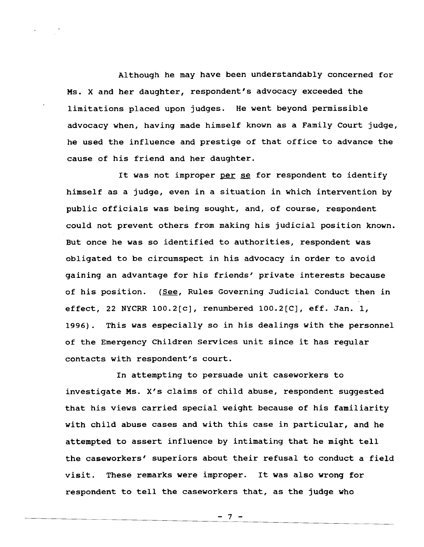Although he may have been understandably concerned for Ms. X and her daughter, respondent's advocacy exceeded the limitations placed upon judges. He went beyond permissible advocacy when, having made himself known as a Family Court judge, he used the influence and prestige of that office to advance the cause of his friend and her daughter.

It was not improper per se for respondent to identify himself as <sup>a</sup> judge, even in <sup>a</sup> situation in which intervention by public officials was being sought, and, of course, respondent could not prevent others from making his jUdicial position known. But once he was so identified to authorities, respondent was obligated to be circumspect in his advocacy in order to avoid gaining an advantage for his friends' private interests because of his position. (See, Rules Governing Judicial Conduct then in effect, <sup>22</sup> NYCRR 100.2[c], renumbered 100.2[C], eff. Jan. 1, 1996). This was especially so in his dealings with the personnel of the Emergency Children services unit since it has regular contacts with respondent's court.

In attempting to persuade unit caseworkers to investigate Ms. X's claims of child abuse, respondent suggested that his views carried special weight because of his familiarity with child abuse cases and with this case in particular, and he attempted to assert influence by intimating that he might tell the caseworkers' superiors about their refusal to conduct <sup>a</sup> field visit. These remarks were improper. It was also wrong for respondent to tell the caseworkers that, as the judge who

 $-7 -$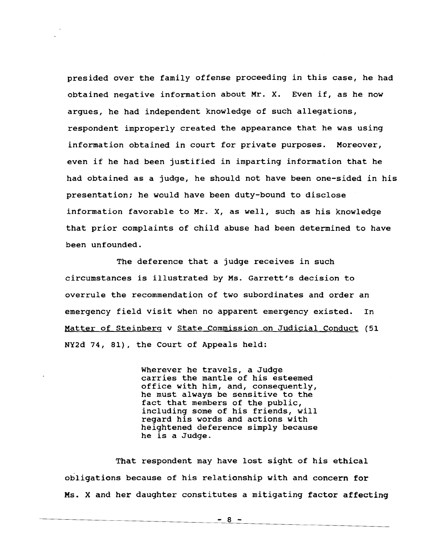presided over the family offense proceeding in this case, he had obtained negative information about Mr. X. Even if, as he now argues, he had independent knowledge of such allegations, respondent improperly created the appearance that he was using information obtained in court for private purposes. Moreover, even if he had been justified in imparting information that he had obtained as a judge, he should not have been one-sided in his presentation; he would have been duty-bound to disclose information favorable to Mr. X, as well, such as his knowledge that prior complaints of child abuse had been determined to have been unfounded.

The deference that a judge receives in such circumstances is illustrated by Ms. Garrett's decision to overrule the recommendation of two subordinates and order an emergency field visit when no apparent emergency existed. In Matter of steinberg <sup>v</sup> state Commission on Judicial Conduct (51 NY2d 74, 81), the Court of Appeals held:

> Wherever he travels, <sup>a</sup> Judge carries the mantle of his esteemed office with him, and, consequently, he must always be sensitive to the fact that members of the public, including some of his friends, will regard his words and actions with heightened deference simply because he is <sup>a</sup> Judge.

That respondent may have lost sight of his ethical obligations because of his relationship with and concern for Ms. X and her daughter constitutes a mitigating factor affecting

 $-8 -$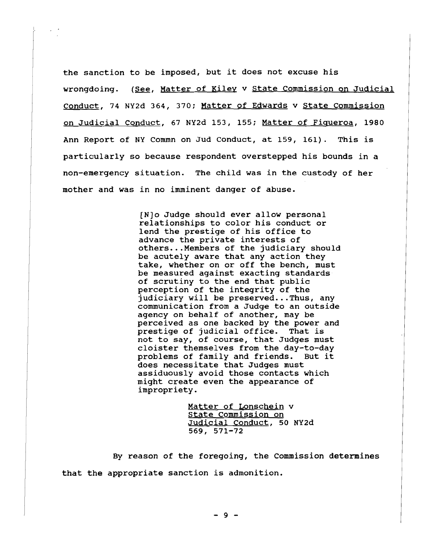the sanction to be imposed, but it does not excuse his wrongdoing. (See, Matter of Kiley <sup>v</sup> State Commission on Judicial Conduct, 74 NY2d 364, 370; Matter of Edwards v State Commission on Judicial Conduct, <sup>67</sup> NY2d 153, 155; Matter of Figueroa, 1980 Ann Report of NY Commn on Jud Conduct, at 159, 161). This is particularly so because respondent overstepped his bounds in <sup>a</sup> non-emergency situation. The child was in the custody of her mother and was in no imminent danger of abuse.

> (N]o Judge should ever allow personal relationships to color his conduct or lend the prestige of his office to advance the private interests of others... Members of the judiciary should be acutely aware that any action they take, whether on or off the bench, must be measured against exacting standards of scrutiny to the end that public perception of the integrity of the judiciary will be preserved...Thus, any communication from a Judge to an outside agency on behalf of another, may be perceived as one backed by the power and prestige of judicial office. That is not to say, of course, that Judges must cloister themselves from the day-to-day problems of family and friends. But it does necessitate that Judges must assiduously avoid those contacts which might create even the appearance of impropriety.

> > Matter of Lonschein v State Commission on Judicial Conduct, 50 NY2d 569, 571-72

By reason of the foregoing, the Commission determines that the appropriate sanction is admonition.

 $-9 -$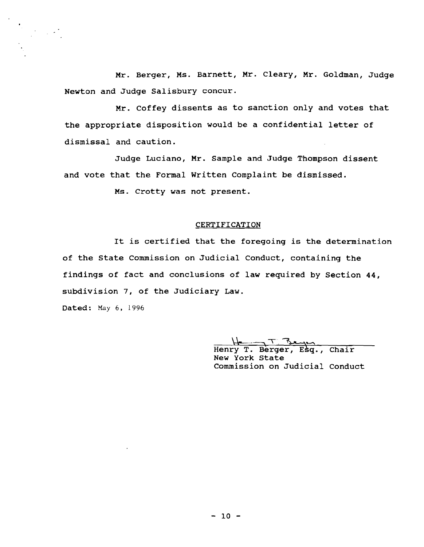Mr. Berger, Ms. Barnett, Mr. Cleary, Mr. Goldman, Judge Newton and Judge Salisbury concur.

Mr. coffey dissents as to sanction only and votes that the appropriate disposition would be <sup>a</sup> confidential letter of dismissal and caution.

Judge Luciano, Mr. Sample and Judge Thompson dissent and vote that the Formal written Complaint be dismissed.

Ms. crotty was not present.

#### **CERTIFICATION**

It is certified that the foregoing is the determination of the State commission on Judicial Conduct, containing the findings of fact and conclusions of law required by Section 44, subdivision 7, of the JUdiciary Law.

Dated: May 6, 1996

Henry T. Berger, Esq., Chair New York State Commission on Judicial Conduct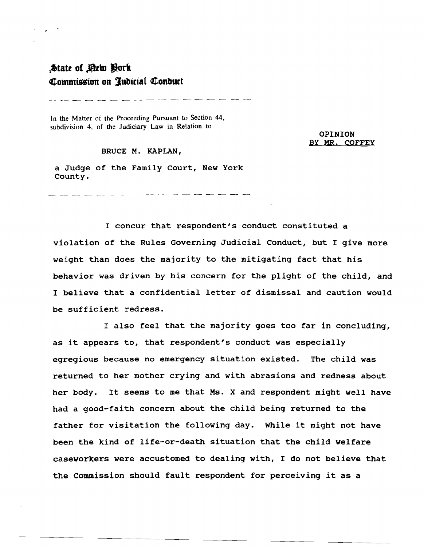## **:t>tatt of .0tbJ lork QI-ommU5sion on 3lubtcial QI-onbUtt**

.<br>Andre sold ander sold ander sold ander sold ander sold ander sold ander sold and sold and sold and sold and

In the Matter of the Proceeding Pursuant to Section 44, subdivision 4, of the Judiciary Law in Relation to

> OPINION BY MR. COFFEY

BRUCE M. KAPLAN,

a JUdge of the Family Court, New York County.

منها معنو وسلم النها للبد فليد بنها مدن المنو العام المنا للبد النها التي المنو المنو المنو المناو المنا

<sup>I</sup> concur that respondent's conduct constituted <sup>a</sup> violation of the Rules Governing Judicial Conduct, but I give more weight than does the majority to the mitigating fact that his behavior was driven by his concern for the plight of the child, and <sup>I</sup> believe that <sup>a</sup> confidential letter of dismissal and caution would be sufficient redress.

<sup>I</sup> also feel that the majority goes too far in concluding, as it appears to, that respondent's conduct was especially egregious because no emergency situation existed. The child was returned to her mother crying and with abrasions and redness about her body. It seems to me that Ms. <sup>X</sup> and respondent might well have had a good-faith concern about the child being returned to the father for visitation the following day. While it might not have been the kind of life-or-death situation that the child welfare caseworkers were accustomed to dealing with, <sup>I</sup> do not believe that the Commission should fault respondent for perceiving it as <sup>a</sup>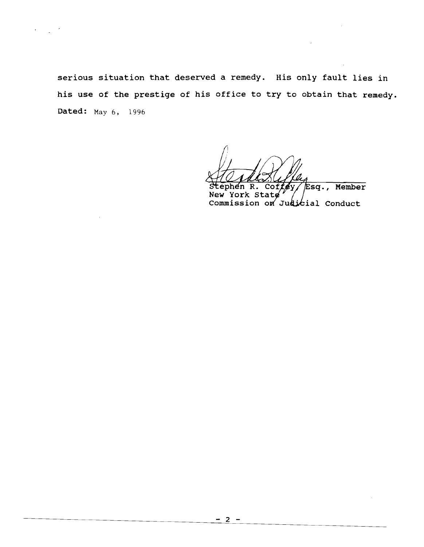serious situation that deserved <sup>a</sup> remedy. His only fault lies in his use of the prestige of his office to try to obtain that remedy. Dated: May 6, 1996

sq., Member

 $\sim$   $\sim$ 

ial Conduct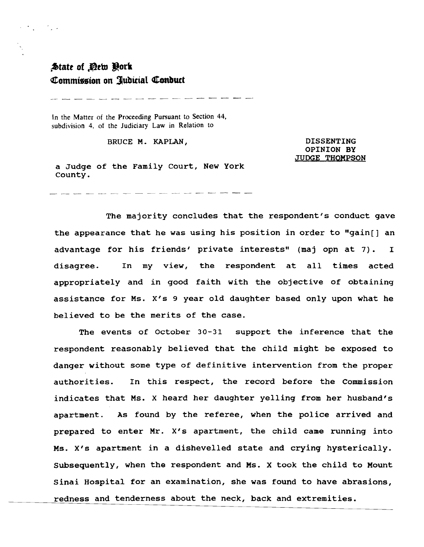## $*$ **State of** *De***tu Qork Commission on Jubicial Conduct**

 $\label{eq:2} \mathcal{L}^{\text{c}}\left(\mathcal{L}^{\text{c}}\right) = \mathcal{L}^{\text{c}}\left(\mathcal{L}^{\text{c}}\right)$ 

وتنبع متعارضته للتواصل للتواصل للتواصل وللواحث المتواصل الما

In the Matter of the Proceeding Pursuant to Section 44, subdivision 4, of the Judiciary Law in Relation to

BRUCE M. KAPLAN,

DISSENTING OPINION BY JUDGE THOMPSON

a Judge of the Family Court, New York county.

a bandar dan bertukur dan bertukur dan bertukur dan bertukur.

The majority concludes that the respondent's conduct gave the appearance that he was using his position in order to "gain[] an advantage for his friends' private interests" (maj opn at 7). <sup>I</sup> disagree. In my view, the respondent at all times acted appropriately and in good faith with the objective of obtaining assistance for Ms. X's 9 year old daughter based only upon what he believed to be the merits of the case.

The events of October 30-31 support the inference that the respondent reasonably believed that the child might be exposed to danger without some type of definitive intervention from the proper authorities. In this respect, the record before the Commission indicates that Ms. X heard her daughter yelling from her husband's apartment. As found by the referee, when the police arrived and prepared to enter Mr. X's apartment, the child came running into Ms. X's apartment in <sup>a</sup> dishevelled state and crying hysterically. Subsequently, when the respondent and Ms. X took the child to Mount Sinai Hospital for an examination, she was found to have abrasions, redness and tenderness about the neck, back and extremities.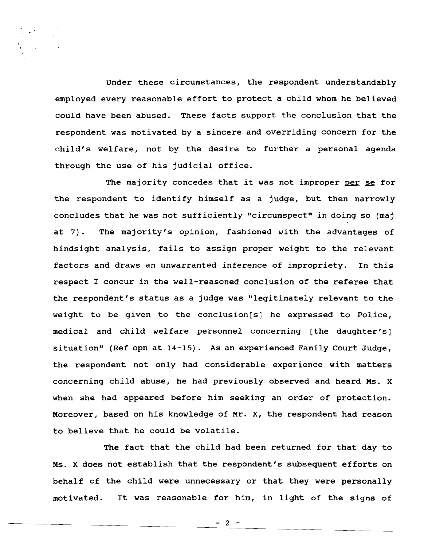Under these circumstances, the respondent understandably employed every reasonable effort to protect <sup>a</sup> child whom he believed could have been abused. These facts support the conclusion that the respondent was motivated by a sincere and overriding concern for the child's welfare, not by the desire to further <sup>a</sup> personal agenda through the use of his judicial office.

The majority concedes that it was not improper per se for the respondent to identify himself as a judge, but then narrowly concludes that he was not sufficiently "circumspect" in doing so (maj at 7). The majority's opinion, fashioned with the advantages of hindsight analysis, fails to assign proper weight to the relevant factors and draws an unwarranted inference of impropriety. In this respect I concur in the well-reasoned conclusion of the referee that the respondent's status as a judge was "legitimately relevant to the weight to be given to the conclusion[s] he expressed to Police, medical and child welfare personnel concerning [the daughter's] situation" (Ref opn at 14-15). As an experienced Family Court JUdge, the respondent not only had considerable experience with matters concerning child abuse, he had previously observed and heard Ms. X when she had appeared before him seeking an order of protection. Moreover, based on his knowledge of Mr. X, the respondent had reason to believe that he could be volatile.

The fact that the child had been returned for that day to Ms. <sup>X</sup> does not establish that the respondent's subsequent efforts on behalf of the child were unnecessary or that they were personally motivated. It was reasonable for him, in light of the signs of

 $- 2 -$